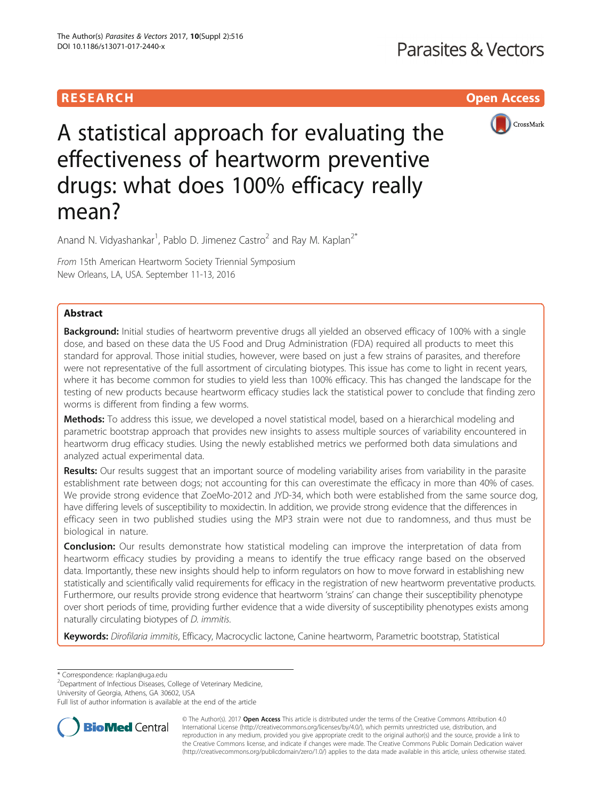# **RESEARCH CHILD CONTROL** CONTROL CONTROL CONTROL CONTROL CONTROL CONTROL CONTROL CONTROL CONTROL CONTROL CONTROL CONTROL CONTROL CONTROL CONTROL CONTROL CONTROL CONTROL CONTROL CONTROL CONTROL CONTROL CONTROL CONTROL CONTR



# A statistical approach for evaluating the effectiveness of heartworm preventive drugs: what does 100% efficacy really mean?

Anand N. Vidyashankar<sup>1</sup>, Pablo D. Jimenez Castro<sup>2</sup> and Ray M. Kaplan<sup>2\*</sup>

From 15th American Heartworm Society Triennial Symposium New Orleans, LA, USA. September 11-13, 2016

## Abstract

**Background:** Initial studies of heartworm preventive drugs all yielded an observed efficacy of 100% with a single dose, and based on these data the US Food and Drug Administration (FDA) required all products to meet this standard for approval. Those initial studies, however, were based on just a few strains of parasites, and therefore were not representative of the full assortment of circulating biotypes. This issue has come to light in recent years, where it has become common for studies to yield less than 100% efficacy. This has changed the landscape for the testing of new products because heartworm efficacy studies lack the statistical power to conclude that finding zero worms is different from finding a few worms.

Methods: To address this issue, we developed a novel statistical model, based on a hierarchical modeling and parametric bootstrap approach that provides new insights to assess multiple sources of variability encountered in heartworm drug efficacy studies. Using the newly established metrics we performed both data simulations and analyzed actual experimental data.

Results: Our results suggest that an important source of modeling variability arises from variability in the parasite establishment rate between dogs; not accounting for this can overestimate the efficacy in more than 40% of cases. We provide strong evidence that ZoeMo-2012 and JYD-34, which both were established from the same source dog, have differing levels of susceptibility to moxidectin. In addition, we provide strong evidence that the differences in efficacy seen in two published studies using the MP3 strain were not due to randomness, and thus must be biological in nature.

**Conclusion:** Our results demonstrate how statistical modeling can improve the interpretation of data from heartworm efficacy studies by providing a means to identify the true efficacy range based on the observed data. Importantly, these new insights should help to inform regulators on how to move forward in establishing new statistically and scientifically valid requirements for efficacy in the registration of new heartworm preventative products. Furthermore, our results provide strong evidence that heartworm 'strains' can change their susceptibility phenotype over short periods of time, providing further evidence that a wide diversity of susceptibility phenotypes exists among naturally circulating biotypes of D. immitis.

Keywords: Dirofilaria immitis, Efficacy, Macrocyclic lactone, Canine heartworm, Parametric bootstrap, Statistical

\* Correspondence: [rkaplan@uga.edu](mailto:rkaplan@uga.edu) <sup>2</sup>

<sup>2</sup>Department of Infectious Diseases, College of Veterinary Medicine,

University of Georgia, Athens, GA 30602, USA

Full list of author information is available at the end of the article



© The Author(s). 2017 **Open Access** This article is distributed under the terms of the Creative Commons Attribution 4.0 International License [\(http://creativecommons.org/licenses/by/4.0/](http://creativecommons.org/licenses/by/4.0/)), which permits unrestricted use, distribution, and reproduction in any medium, provided you give appropriate credit to the original author(s) and the source, provide a link to the Creative Commons license, and indicate if changes were made. The Creative Commons Public Domain Dedication waiver [\(http://creativecommons.org/publicdomain/zero/1.0/](http://creativecommons.org/publicdomain/zero/1.0/)) applies to the data made available in this article, unless otherwise stated.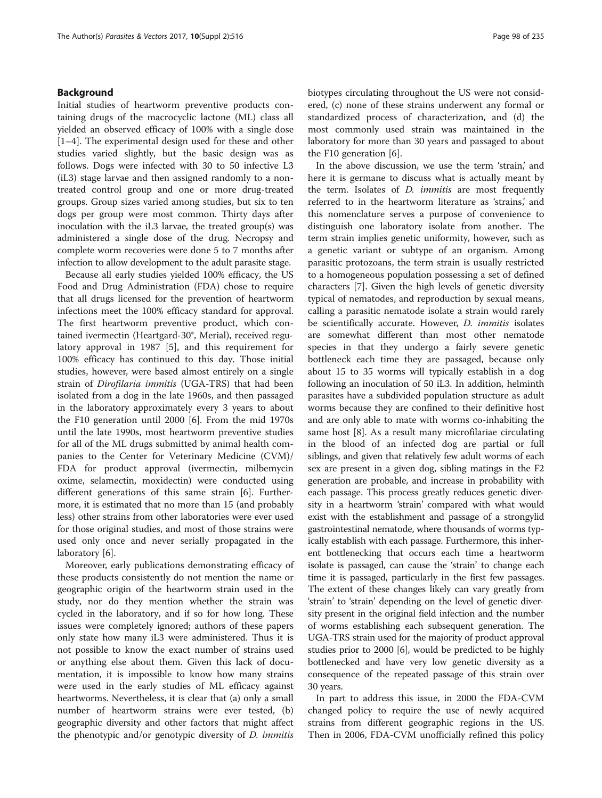### Background

Initial studies of heartworm preventive products containing drugs of the macrocyclic lactone (ML) class all yielded an observed efficacy of 100% with a single dose [[1](#page-10-0)–[4\]](#page-11-0). The experimental design used for these and other studies varied slightly, but the basic design was as follows. Dogs were infected with 30 to 50 infective L3 (iL3) stage larvae and then assigned randomly to a nontreated control group and one or more drug-treated groups. Group sizes varied among studies, but six to ten dogs per group were most common. Thirty days after inoculation with the iL3 larvae, the treated group(s) was administered a single dose of the drug. Necropsy and complete worm recoveries were done 5 to 7 months after infection to allow development to the adult parasite stage.

Because all early studies yielded 100% efficacy, the US Food and Drug Administration (FDA) chose to require that all drugs licensed for the prevention of heartworm infections meet the 100% efficacy standard for approval. The first heartworm preventive product, which contained ivermectin (Heartgard-30®, Merial), received regulatory approval in 1987 [\[5](#page-11-0)], and this requirement for 100% efficacy has continued to this day. Those initial studies, however, were based almost entirely on a single strain of Dirofilaria immitis (UGA-TRS) that had been isolated from a dog in the late 1960s, and then passaged in the laboratory approximately every 3 years to about the F10 generation until 2000 [[6\]](#page-11-0). From the mid 1970s until the late 1990s, most heartworm preventive studies for all of the ML drugs submitted by animal health companies to the Center for Veterinary Medicine (CVM)/ FDA for product approval (ivermectin, milbemycin oxime, selamectin, moxidectin) were conducted using different generations of this same strain [[6\]](#page-11-0). Furthermore, it is estimated that no more than 15 (and probably less) other strains from other laboratories were ever used for those original studies, and most of those strains were used only once and never serially propagated in the laboratory [\[6](#page-11-0)].

Moreover, early publications demonstrating efficacy of these products consistently do not mention the name or geographic origin of the heartworm strain used in the study, nor do they mention whether the strain was cycled in the laboratory, and if so for how long. These issues were completely ignored; authors of these papers only state how many iL3 were administered. Thus it is not possible to know the exact number of strains used or anything else about them. Given this lack of documentation, it is impossible to know how many strains were used in the early studies of ML efficacy against heartworms. Nevertheless, it is clear that (a) only a small number of heartworm strains were ever tested, (b) geographic diversity and other factors that might affect the phenotypic and/or genotypic diversity of D. immitis

biotypes circulating throughout the US were not considered, (c) none of these strains underwent any formal or standardized process of characterization, and (d) the most commonly used strain was maintained in the laboratory for more than 30 years and passaged to about the F10 generation [[6\]](#page-11-0).

In the above discussion, we use the term 'strain,' and here it is germane to discuss what is actually meant by the term. Isolates of D. immitis are most frequently referred to in the heartworm literature as 'strains,' and this nomenclature serves a purpose of convenience to distinguish one laboratory isolate from another. The term strain implies genetic uniformity, however, such as a genetic variant or subtype of an organism. Among parasitic protozoans, the term strain is usually restricted to a homogeneous population possessing a set of defined characters [\[7](#page-11-0)]. Given the high levels of genetic diversity typical of nematodes, and reproduction by sexual means, calling a parasitic nematode isolate a strain would rarely be scientifically accurate. However, *D. immitis* isolates are somewhat different than most other nematode species in that they undergo a fairly severe genetic bottleneck each time they are passaged, because only about 15 to 35 worms will typically establish in a dog following an inoculation of 50 iL3. In addition, helminth parasites have a subdivided population structure as adult worms because they are confined to their definitive host and are only able to mate with worms co-inhabiting the same host [[8\]](#page-11-0). As a result many microfilariae circulating in the blood of an infected dog are partial or full siblings, and given that relatively few adult worms of each sex are present in a given dog, sibling matings in the F2 generation are probable, and increase in probability with each passage. This process greatly reduces genetic diversity in a heartworm 'strain' compared with what would exist with the establishment and passage of a strongylid gastrointestinal nematode, where thousands of worms typically establish with each passage. Furthermore, this inherent bottlenecking that occurs each time a heartworm isolate is passaged, can cause the 'strain' to change each time it is passaged, particularly in the first few passages. The extent of these changes likely can vary greatly from 'strain' to 'strain' depending on the level of genetic diversity present in the original field infection and the number of worms establishing each subsequent generation. The UGA-TRS strain used for the majority of product approval studies prior to 2000 [[6\]](#page-11-0), would be predicted to be highly bottlenecked and have very low genetic diversity as a consequence of the repeated passage of this strain over 30 years.

In part to address this issue, in 2000 the FDA-CVM changed policy to require the use of newly acquired strains from different geographic regions in the US. Then in 2006, FDA-CVM unofficially refined this policy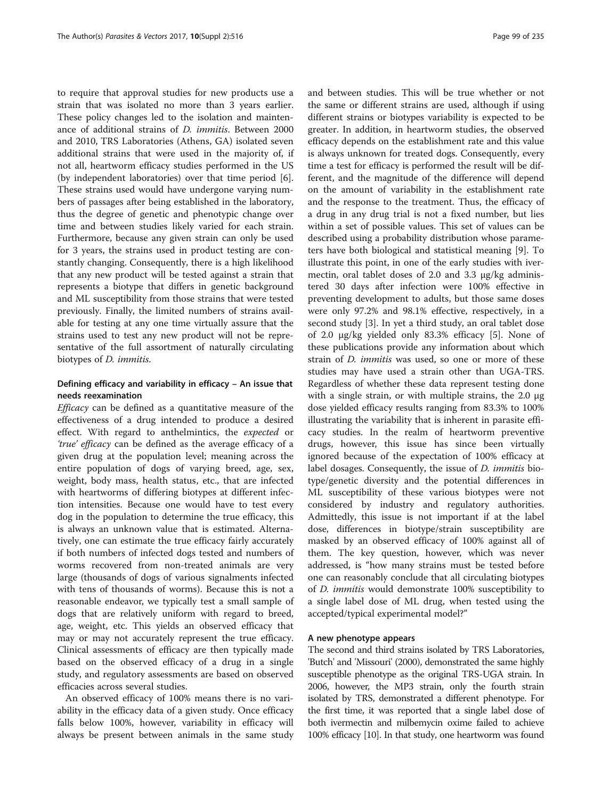to require that approval studies for new products use a strain that was isolated no more than 3 years earlier. These policy changes led to the isolation and maintenance of additional strains of D. immitis. Between 2000 and 2010, TRS Laboratories (Athens, GA) isolated seven additional strains that were used in the majority of, if not all, heartworm efficacy studies performed in the US (by independent laboratories) over that time period [\[6](#page-11-0)]. These strains used would have undergone varying numbers of passages after being established in the laboratory, thus the degree of genetic and phenotypic change over time and between studies likely varied for each strain. Furthermore, because any given strain can only be used for 3 years, the strains used in product testing are constantly changing. Consequently, there is a high likelihood that any new product will be tested against a strain that represents a biotype that differs in genetic background and ML susceptibility from those strains that were tested previously. Finally, the limited numbers of strains available for testing at any one time virtually assure that the strains used to test any new product will not be representative of the full assortment of naturally circulating biotypes of D. immitis.

### Defining efficacy and variability in efficacy – An issue that needs reexamination

Efficacy can be defined as a quantitative measure of the effectiveness of a drug intended to produce a desired effect. With regard to anthelmintics, the expected or 'true' efficacy can be defined as the average efficacy of a given drug at the population level; meaning across the entire population of dogs of varying breed, age, sex, weight, body mass, health status, etc., that are infected with heartworms of differing biotypes at different infection intensities. Because one would have to test every dog in the population to determine the true efficacy, this is always an unknown value that is estimated. Alternatively, one can estimate the true efficacy fairly accurately if both numbers of infected dogs tested and numbers of worms recovered from non-treated animals are very large (thousands of dogs of various signalments infected with tens of thousands of worms). Because this is not a reasonable endeavor, we typically test a small sample of dogs that are relatively uniform with regard to breed, age, weight, etc. This yields an observed efficacy that may or may not accurately represent the true efficacy. Clinical assessments of efficacy are then typically made based on the observed efficacy of a drug in a single study, and regulatory assessments are based on observed efficacies across several studies.

An observed efficacy of 100% means there is no variability in the efficacy data of a given study. Once efficacy falls below 100%, however, variability in efficacy will always be present between animals in the same study and between studies. This will be true whether or not the same or different strains are used, although if using different strains or biotypes variability is expected to be greater. In addition, in heartworm studies, the observed efficacy depends on the establishment rate and this value is always unknown for treated dogs. Consequently, every time a test for efficacy is performed the result will be different, and the magnitude of the difference will depend on the amount of variability in the establishment rate and the response to the treatment. Thus, the efficacy of a drug in any drug trial is not a fixed number, but lies within a set of possible values. This set of values can be described using a probability distribution whose parameters have both biological and statistical meaning [[9\]](#page-11-0). To illustrate this point, in one of the early studies with ivermectin, oral tablet doses of 2.0 and 3.3 μg/kg administered 30 days after infection were 100% effective in preventing development to adults, but those same doses were only 97.2% and 98.1% effective, respectively, in a second study [\[3](#page-10-0)]. In yet a third study, an oral tablet dose of 2.0 μg/kg yielded only 83.3% efficacy [[5](#page-11-0)]. None of these publications provide any information about which strain of D. immitis was used, so one or more of these studies may have used a strain other than UGA-TRS. Regardless of whether these data represent testing done with a single strain, or with multiple strains, the 2.0 μg dose yielded efficacy results ranging from 83.3% to 100% illustrating the variability that is inherent in parasite efficacy studies. In the realm of heartworm preventive drugs, however, this issue has since been virtually ignored because of the expectation of 100% efficacy at label dosages. Consequently, the issue of D. immitis biotype/genetic diversity and the potential differences in ML susceptibility of these various biotypes were not considered by industry and regulatory authorities. Admittedly, this issue is not important if at the label dose, differences in biotype/strain susceptibility are masked by an observed efficacy of 100% against all of them. The key question, however, which was never addressed, is "how many strains must be tested before one can reasonably conclude that all circulating biotypes of D. immitis would demonstrate 100% susceptibility to a single label dose of ML drug, when tested using the accepted/typical experimental model?"

#### A new phenotype appears

The second and third strains isolated by TRS Laboratories, 'Butch' and 'Missouri' (2000), demonstrated the same highly susceptible phenotype as the original TRS-UGA strain. In 2006, however, the MP3 strain, only the fourth strain isolated by TRS, demonstrated a different phenotype. For the first time, it was reported that a single label dose of both ivermectin and milbemycin oxime failed to achieve 100% efficacy [\[10](#page-11-0)]. In that study, one heartworm was found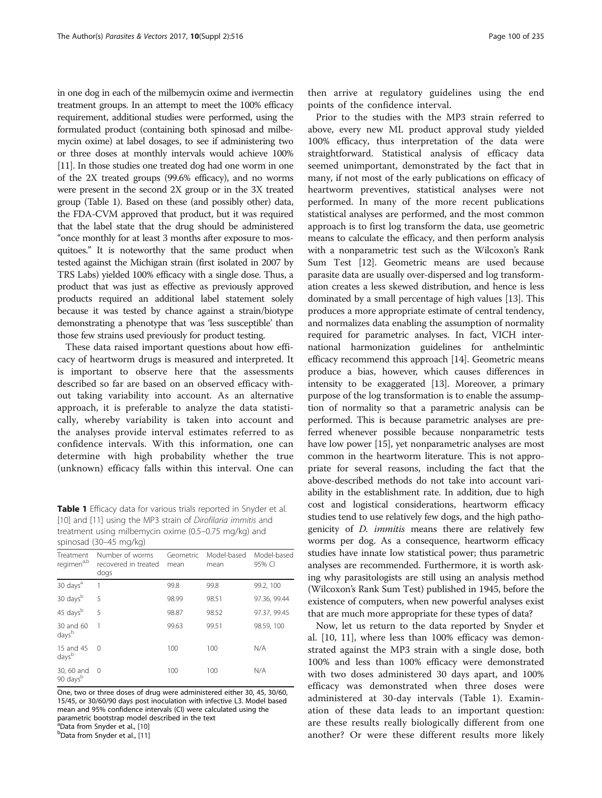in one dog in each of the milbemycin oxime and ivermectin treatment groups. In an attempt to meet the 100% efficacy requirement, additional studies were performed, using the formulated product (containing both spinosad and milbemycin oxime) at label dosages, to see if administering two or three doses at monthly intervals would achieve 100% [[11](#page-11-0)]. In those studies one treated dog had one worm in one of the 2X treated groups (99.6% efficacy), and no worms were present in the second 2X group or in the 3X treated group (Table 1). Based on these (and possibly other) data, the FDA-CVM approved that product, but it was required that the label state that the drug should be administered "once monthly for at least 3 months after exposure to mosquitoes." It is noteworthy that the same product when tested against the Michigan strain (first isolated in 2007 by TRS Labs) yielded 100% efficacy with a single dose. Thus, a product that was just as effective as previously approved products required an additional label statement solely because it was tested by chance against a strain/biotype demonstrating a phenotype that was 'less susceptible' than those few strains used previously for product testing.

These data raised important questions about how efficacy of heartworm drugs is measured and interpreted. It is important to observe here that the assessments described so far are based on an observed efficacy without taking variability into account. As an alternative approach, it is preferable to analyze the data statistically, whereby variability is taken into account and the analyses provide interval estimates referred to as confidence intervals. With this information, one can determine with high probability whether the true (unknown) efficacy falls within this interval. One can

**Table 1** Efficacy data for various trials reported in Snyder et al. [\[10\]](#page-11-0) and [\[11](#page-11-0)] using the MP3 strain of Dirofilaria immitis and treatment using milbemycin oxime (0.5–0.75 mg/kg) and spinosad (30–45 mg/kg)

| Treatment<br>regimen <sup>a,b</sup> | Number of worms<br>recovered in treated<br>dogs | Geometric<br>mean | Model-based<br>mean | Model-based<br>95% CI |
|-------------------------------------|-------------------------------------------------|-------------------|---------------------|-----------------------|
| 30 days <sup>a</sup>                |                                                 | 99.8              | 99.8                | 99.2, 100             |
| 30 daysb                            | 5                                               | 98.99             | 98.51               | 97.36, 99.44          |
| 45 days <sup>b</sup>                | 5                                               | 98.87             | 98.52               | 97.37, 99.45          |
| 30 and 60<br>daysb                  |                                                 | 99.63             | 99.51               | 98.59, 100            |
| 15 and 45<br>daysb                  | $\Omega$                                        | 100               | 100                 | N/A                   |
| 30, 60 and<br>90 daysb              | 0                                               | 100               | 100                 | N/A                   |

One, two or three doses of drug were administered either 30, 45, 30/60, 15/45, or 30/60/90 days post inoculation with infective L3. Model based mean and 95% confidence intervals (CI) were calculated using the parametric bootstrap model described in the text a<br><sup>a</sup>Data from Snyder et al., [\[10](#page-11-0)]<br><sup>b</sup>Data from Snyder et al., [11]

<sup>b</sup>Data from Snyder et al., [[11\]](#page-11-0)

then arrive at regulatory guidelines using the end points of the confidence interval.

Prior to the studies with the MP3 strain referred to above, every new ML product approval study yielded 100% efficacy, thus interpretation of the data were straightforward. Statistical analysis of efficacy data seemed unimportant, demonstrated by the fact that in many, if not most of the early publications on efficacy of heartworm preventives, statistical analyses were not performed. In many of the more recent publications statistical analyses are performed, and the most common approach is to first log transform the data, use geometric means to calculate the efficacy, and then perform analysis with a nonparametric test such as the Wilcoxon's Rank Sum Test [[12\]](#page-11-0). Geometric means are used because parasite data are usually over-dispersed and log transformation creates a less skewed distribution, and hence is less dominated by a small percentage of high values [\[13\]](#page-11-0). This produces a more appropriate estimate of central tendency, and normalizes data enabling the assumption of normality required for parametric analyses. In fact, VICH international harmonization guidelines for anthelmintic efficacy recommend this approach [\[14](#page-11-0)]. Geometric means produce a bias, however, which causes differences in intensity to be exaggerated [[13](#page-11-0)]. Moreover, a primary purpose of the log transformation is to enable the assumption of normality so that a parametric analysis can be performed. This is because parametric analyses are preferred whenever possible because nonparametric tests have low power [[15\]](#page-11-0), yet nonparametric analyses are most common in the heartworm literature. This is not appropriate for several reasons, including the fact that the above-described methods do not take into account variability in the establishment rate. In addition, due to high cost and logistical considerations, heartworm efficacy studies tend to use relatively few dogs, and the high pathogenicity of D. immitis means there are relatively few worms per dog. As a consequence, heartworm efficacy studies have innate low statistical power; thus parametric analyses are recommended. Furthermore, it is worth asking why parasitologists are still using an analysis method (Wilcoxon's Rank Sum Test) published in 1945, before the existence of computers, when new powerful analyses exist that are much more appropriate for these types of data?

Now, let us return to the data reported by Snyder et al. [\[10](#page-11-0), [11](#page-11-0)], where less than 100% efficacy was demonstrated against the MP3 strain with a single dose, both 100% and less than 100% efficacy were demonstrated with two doses administered 30 days apart, and 100% efficacy was demonstrated when three doses were administered at 30-day intervals (Table 1). Examination of these data leads to an important question: are these results really biologically different from one another? Or were these different results more likely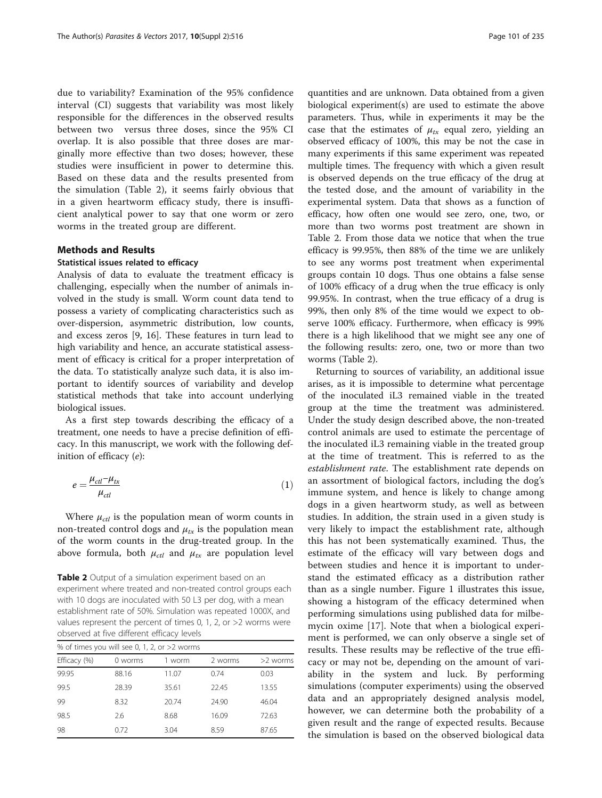<span id="page-4-0"></span>due to variability? Examination of the 95% confidence interval (CI) suggests that variability was most likely responsible for the differences in the observed results between two versus three doses, since the 95% CI overlap. It is also possible that three doses are marginally more effective than two doses; however, these studies were insufficient in power to determine this. Based on these data and the results presented from the simulation (Table 2), it seems fairly obvious that in a given heartworm efficacy study, there is insufficient analytical power to say that one worm or zero worms in the treated group are different.

#### Methods and Results

#### Statistical issues related to efficacy

Analysis of data to evaluate the treatment efficacy is challenging, especially when the number of animals involved in the study is small. Worm count data tend to possess a variety of complicating characteristics such as over-dispersion, asymmetric distribution, low counts, and excess zeros [[9, 16](#page-11-0)]. These features in turn lead to high variability and hence, an accurate statistical assessment of efficacy is critical for a proper interpretation of the data. To statistically analyze such data, it is also important to identify sources of variability and develop statistical methods that take into account underlying biological issues.

As a first step towards describing the efficacy of a treatment, one needs to have a precise definition of efficacy. In this manuscript, we work with the following definition of efficacy (e):

$$
e = \frac{\mu_{ctl} - \mu_{tx}}{\mu_{ctl}} \tag{1}
$$

Where  $\mu_{ctl}$  is the population mean of worm counts in non-treated control dogs and  $\mu_{tx}$  is the population mean of the worm counts in the drug-treated group. In the above formula, both  $\mu_{ctl}$  and  $\mu_{tx}$  are population level

Table 2 Output of a simulation experiment based on an experiment where treated and non-treated control groups each with 10 dogs are inoculated with 50 L3 per dog, with a mean establishment rate of 50%. Simulation was repeated 1000X, and values represent the percent of times 0, 1, 2, or >2 worms were observed at five different efficacy levels

| % of times you will see 0, 1, 2, or $>2$ worms |         |        |         |          |  |  |
|------------------------------------------------|---------|--------|---------|----------|--|--|
| Efficacy (%)                                   | 0 worms | 1 worm | 2 worms | >2 worms |  |  |
| 99.95                                          | 88.16   | 11.07  | 0.74    | 0.03     |  |  |
| 99.5                                           | 28.39   | 35.61  | 22.45   | 13.55    |  |  |
| 99                                             | 8.32    | 20.74  | 24.90   | 46.04    |  |  |
| 98.5                                           | 2.6     | 8.68   | 16.09   | 72.63    |  |  |
| 98                                             | 0.72    | 3.04   | 8.59    | 87.65    |  |  |
|                                                |         |        |         |          |  |  |

quantities and are unknown. Data obtained from a given biological experiment(s) are used to estimate the above parameters. Thus, while in experiments it may be the case that the estimates of  $\mu_{tx}$  equal zero, yielding an observed efficacy of 100%, this may be not the case in many experiments if this same experiment was repeated multiple times. The frequency with which a given result is observed depends on the true efficacy of the drug at the tested dose, and the amount of variability in the experimental system. Data that shows as a function of efficacy, how often one would see zero, one, two, or more than two worms post treatment are shown in Table 2. From those data we notice that when the true efficacy is 99.95%, then 88% of the time we are unlikely to see any worms post treatment when experimental groups contain 10 dogs. Thus one obtains a false sense of 100% efficacy of a drug when the true efficacy is only 99.95%. In contrast, when the true efficacy of a drug is 99%, then only 8% of the time would we expect to observe 100% efficacy. Furthermore, when efficacy is 99% there is a high likelihood that we might see any one of the following results: zero, one, two or more than two worms (Table 2).

Returning to sources of variability, an additional issue arises, as it is impossible to determine what percentage of the inoculated iL3 remained viable in the treated group at the time the treatment was administered. Under the study design described above, the non-treated control animals are used to estimate the percentage of the inoculated iL3 remaining viable in the treated group at the time of treatment. This is referred to as the establishment rate. The establishment rate depends on an assortment of biological factors, including the dog's immune system, and hence is likely to change among dogs in a given heartworm study, as well as between studies. In addition, the strain used in a given study is very likely to impact the establishment rate, although this has not been systematically examined. Thus, the estimate of the efficacy will vary between dogs and between studies and hence it is important to understand the estimated efficacy as a distribution rather than as a single number. Figure [1](#page-5-0) illustrates this issue, showing a histogram of the efficacy determined when performing simulations using published data for milbemycin oxime [[17\]](#page-11-0). Note that when a biological experiment is performed, we can only observe a single set of results. These results may be reflective of the true efficacy or may not be, depending on the amount of variability in the system and luck. By performing simulations (computer experiments) using the observed data and an appropriately designed analysis model, however, we can determine both the probability of a given result and the range of expected results. Because the simulation is based on the observed biological data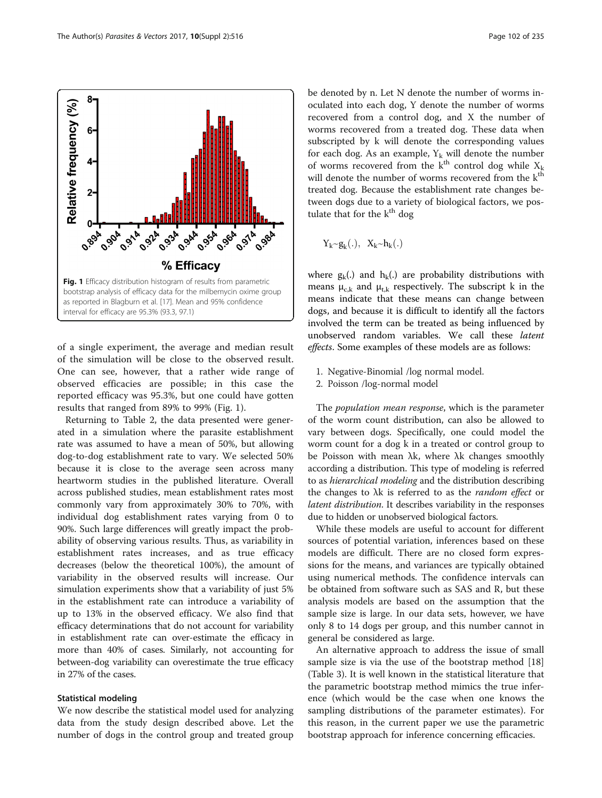<span id="page-5-0"></span>

of a single experiment, the average and median result of the simulation will be close to the observed result. One can see, however, that a rather wide range of observed efficacies are possible; in this case the reported efficacy was 95.3%, but one could have gotten results that ranged from 89% to 99% (Fig. 1).

Returning to Table [2,](#page-4-0) the data presented were generated in a simulation where the parasite establishment rate was assumed to have a mean of 50%, but allowing dog-to-dog establishment rate to vary. We selected 50% because it is close to the average seen across many heartworm studies in the published literature. Overall across published studies, mean establishment rates most commonly vary from approximately 30% to 70%, with individual dog establishment rates varying from 0 to 90%. Such large differences will greatly impact the probability of observing various results. Thus, as variability in establishment rates increases, and as true efficacy decreases (below the theoretical 100%), the amount of variability in the observed results will increase. Our simulation experiments show that a variability of just 5% in the establishment rate can introduce a variability of up to 13% in the observed efficacy. We also find that efficacy determinations that do not account for variability in establishment rate can over-estimate the efficacy in more than 40% of cases. Similarly, not accounting for between-dog variability can overestimate the true efficacy in 27% of the cases.

#### Statistical modeling

We now describe the statistical model used for analyzing data from the study design described above. Let the number of dogs in the control group and treated group

be denoted by n. Let N denote the number of worms inoculated into each dog, Y denote the number of worms recovered from a control dog, and X the number of worms recovered from a treated dog. These data when subscripted by k will denote the corresponding values for each dog. As an example,  $Y_k$  will denote the number of worms recovered from the  $k^{th}$  control dog while  $X_k$ will denote the number of worms recovered from the  $k<sup>th</sup>$ treated dog. Because the establishment rate changes between dogs due to a variety of biological factors, we postulate that for the k<sup>th</sup> dog ted dog. Because ti<br>en dogs due to a va<br>tte that for the k<sup>th</sup> d<br> $Y_k \sim g_k(.), X_k \sim h_k(.)$ 

$$
Y_k \sim g_k(.), \quad X_k \sim h_k(.)
$$

where  $g_k(.)$  and  $h_k(.)$  are probability distributions with means  $\mu_{c,k}$  and  $\mu_{t,k}$  respectively. The subscript k in the means indicate that these means can change between dogs, and because it is difficult to identify all the factors involved the term can be treated as being influenced by unobserved random variables. We call these latent effects. Some examples of these models are as follows:

- 1. Negative-Binomial /log normal model.
- 2. Poisson /log-normal model

The population mean response, which is the parameter of the worm count distribution, can also be allowed to vary between dogs. Specifically, one could model the worm count for a dog k in a treated or control group to be Poisson with mean λk, where λk changes smoothly according a distribution. This type of modeling is referred to as hierarchical modeling and the distribution describing the changes to λk is referred to as the random effect or latent distribution. It describes variability in the responses due to hidden or unobserved biological factors.

While these models are useful to account for different sources of potential variation, inferences based on these models are difficult. There are no closed form expressions for the means, and variances are typically obtained using numerical methods. The confidence intervals can be obtained from software such as SAS and R, but these analysis models are based on the assumption that the sample size is large. In our data sets, however, we have only 8 to 14 dogs per group, and this number cannot in general be considered as large.

An alternative approach to address the issue of small sample size is via the use of the bootstrap method [[18](#page-11-0)] (Table [3\)](#page-6-0). It is well known in the statistical literature that the parametric bootstrap method mimics the true inference (which would be the case when one knows the sampling distributions of the parameter estimates). For this reason, in the current paper we use the parametric bootstrap approach for inference concerning efficacies.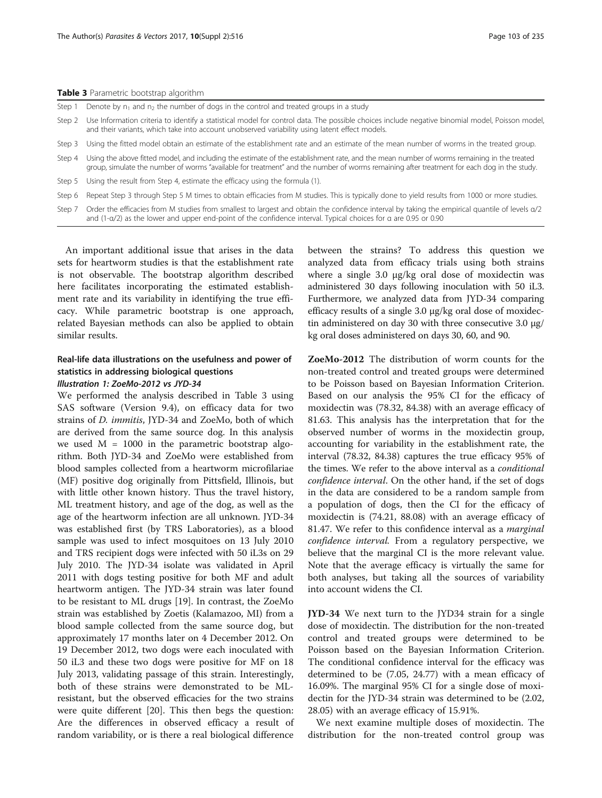- <span id="page-6-0"></span>Step 3 Using the fitted model obtain an estimate of the establishment rate and an estimate of the mean number of worms in the treated group.
- Step 4 Using the above fitted model, and including the estimate of the establishment rate, and the mean number of worms remaining in the treated group, simulate the number of worms "available for treatment" and the number of worms remaining after treatment for each dog in the study.

Step 5 Using the result from Step 4, estimate the efficacy using the formula [\(1](#page-4-0)).

Step 6 Repeat Step 3 through Step 5 M times to obtain efficacies from M studies. This is typically done to yield results from 1000 or more studies.

Step 7 Order the efficacies from M studies from smallest to largest and obtain the confidence interval by taking the empirical quantile of levels  $\alpha/2$ and (1-α/2) as the lower and upper end-point of the confidence interval. Typical choices for α are 0.95 or 0.90

An important additional issue that arises in the data sets for heartworm studies is that the establishment rate is not observable. The bootstrap algorithm described here facilitates incorporating the estimated establishment rate and its variability in identifying the true efficacy. While parametric bootstrap is one approach, related Bayesian methods can also be applied to obtain similar results.

# Real-life data illustrations on the usefulness and power of statistics in addressing biological questions

#### Illustration 1: ZoeMo-2012 vs JYD-34

We performed the analysis described in Table 3 using SAS software (Version 9.4), on efficacy data for two strains of D. immitis, JYD-34 and ZoeMo, both of which are derived from the same source dog. In this analysis we used  $M = 1000$  in the parametric bootstrap algorithm. Both JYD-34 and ZoeMo were established from blood samples collected from a heartworm microfilariae (MF) positive dog originally from Pittsfield, Illinois, but with little other known history. Thus the travel history, ML treatment history, and age of the dog, as well as the age of the heartworm infection are all unknown. JYD-34 was established first (by TRS Laboratories), as a blood sample was used to infect mosquitoes on 13 July 2010 and TRS recipient dogs were infected with 50 iL3s on 29 July 2010. The JYD-34 isolate was validated in April 2011 with dogs testing positive for both MF and adult heartworm antigen. The JYD-34 strain was later found to be resistant to ML drugs [\[19\]](#page-11-0). In contrast, the ZoeMo strain was established by Zoetis (Kalamazoo, MI) from a blood sample collected from the same source dog, but approximately 17 months later on 4 December 2012. On 19 December 2012, two dogs were each inoculated with 50 iL3 and these two dogs were positive for MF on 18 July 2013, validating passage of this strain. Interestingly, both of these strains were demonstrated to be MLresistant, but the observed efficacies for the two strains were quite different [\[20\]](#page-11-0). This then begs the question: Are the differences in observed efficacy a result of random variability, or is there a real biological difference between the strains? To address this question we analyzed data from efficacy trials using both strains where a single 3.0 μg/kg oral dose of moxidectin was administered 30 days following inoculation with 50 iL3. Furthermore, we analyzed data from JYD-34 comparing efficacy results of a single 3.0 μg/kg oral dose of moxidectin administered on day 30 with three consecutive 3.0 μg/ kg oral doses administered on days 30, 60, and 90.

ZoeMo-2012 The distribution of worm counts for the non-treated control and treated groups were determined to be Poisson based on Bayesian Information Criterion. Based on our analysis the 95% CI for the efficacy of moxidectin was (78.32, 84.38) with an average efficacy of 81.63. This analysis has the interpretation that for the observed number of worms in the moxidectin group, accounting for variability in the establishment rate, the interval (78.32, 84.38) captures the true efficacy 95% of the times. We refer to the above interval as a *conditional* confidence interval. On the other hand, if the set of dogs in the data are considered to be a random sample from a population of dogs, then the CI for the efficacy of moxidectin is (74.21, 88.08) with an average efficacy of 81.47. We refer to this confidence interval as a *marginal* confidence interval. From a regulatory perspective, we believe that the marginal CI is the more relevant value. Note that the average efficacy is virtually the same for both analyses, but taking all the sources of variability into account widens the CI.

JYD-34 We next turn to the JYD34 strain for a single dose of moxidectin. The distribution for the non-treated control and treated groups were determined to be Poisson based on the Bayesian Information Criterion. The conditional confidence interval for the efficacy was determined to be (7.05, 24.77) with a mean efficacy of 16.09%. The marginal 95% CI for a single dose of moxidectin for the JYD-34 strain was determined to be (2.02, 28.05) with an average efficacy of 15.91%.

We next examine multiple doses of moxidectin. The distribution for the non-treated control group was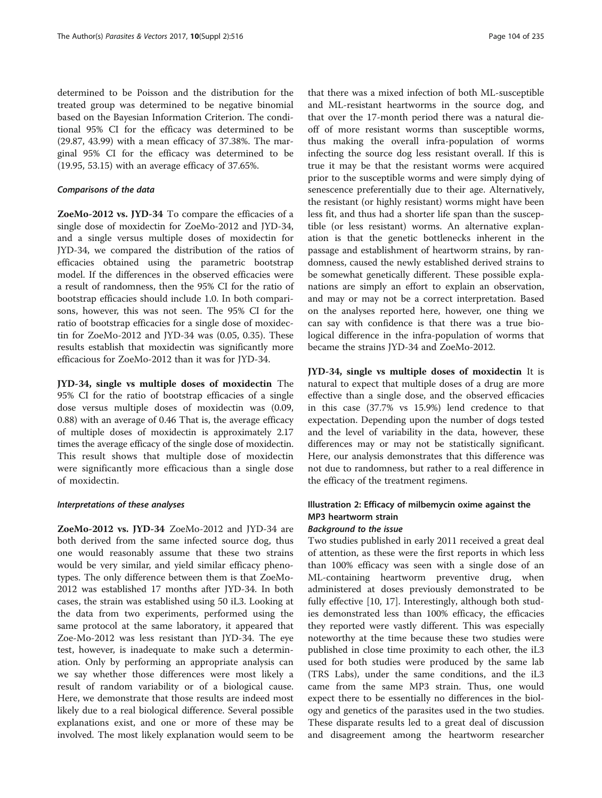determined to be Poisson and the distribution for the treated group was determined to be negative binomial based on the Bayesian Information Criterion. The conditional 95% CI for the efficacy was determined to be (29.87, 43.99) with a mean efficacy of 37.38%. The marginal 95% CI for the efficacy was determined to be (19.95, 53.15) with an average efficacy of 37.65%.

#### Comparisons of the data

ZoeMo-2012 vs. JYD-34 To compare the efficacies of a single dose of moxidectin for ZoeMo-2012 and JYD-34, and a single versus multiple doses of moxidectin for JYD-34, we compared the distribution of the ratios of efficacies obtained using the parametric bootstrap model. If the differences in the observed efficacies were a result of randomness, then the 95% CI for the ratio of bootstrap efficacies should include 1.0. In both comparisons, however, this was not seen. The 95% CI for the ratio of bootstrap efficacies for a single dose of moxidectin for ZoeMo-2012 and JYD-34 was (0.05, 0.35). These results establish that moxidectin was significantly more efficacious for ZoeMo-2012 than it was for JYD-34.

JYD-34, single vs multiple doses of moxidectin The 95% CI for the ratio of bootstrap efficacies of a single dose versus multiple doses of moxidectin was (0.09, 0.88) with an average of 0.46 That is, the average efficacy of multiple doses of moxidectin is approximately 2.17 times the average efficacy of the single dose of moxidectin. This result shows that multiple dose of moxidectin were significantly more efficacious than a single dose of moxidectin.

#### Interpretations of these analyses

ZoeMo-2012 vs. JYD-34 ZoeMo-2012 and JYD-34 are both derived from the same infected source dog, thus one would reasonably assume that these two strains would be very similar, and yield similar efficacy phenotypes. The only difference between them is that ZoeMo-2012 was established 17 months after JYD-34. In both cases, the strain was established using 50 iL3. Looking at the data from two experiments, performed using the same protocol at the same laboratory, it appeared that Zoe-Mo-2012 was less resistant than JYD-34. The eye test, however, is inadequate to make such a determination. Only by performing an appropriate analysis can we say whether those differences were most likely a result of random variability or of a biological cause. Here, we demonstrate that those results are indeed most likely due to a real biological difference. Several possible explanations exist, and one or more of these may be involved. The most likely explanation would seem to be

that there was a mixed infection of both ML-susceptible and ML-resistant heartworms in the source dog, and that over the 17-month period there was a natural dieoff of more resistant worms than susceptible worms, thus making the overall infra-population of worms infecting the source dog less resistant overall. If this is true it may be that the resistant worms were acquired prior to the susceptible worms and were simply dying of senescence preferentially due to their age. Alternatively, the resistant (or highly resistant) worms might have been less fit, and thus had a shorter life span than the susceptible (or less resistant) worms. An alternative explanation is that the genetic bottlenecks inherent in the passage and establishment of heartworm strains, by randomness, caused the newly established derived strains to be somewhat genetically different. These possible explanations are simply an effort to explain an observation, and may or may not be a correct interpretation. Based on the analyses reported here, however, one thing we can say with confidence is that there was a true biological difference in the infra-population of worms that became the strains JYD-34 and ZoeMo-2012.

JYD-34, single vs multiple doses of moxidectin It is natural to expect that multiple doses of a drug are more effective than a single dose, and the observed efficacies in this case (37.7% vs 15.9%) lend credence to that expectation. Depending upon the number of dogs tested and the level of variability in the data, however, these differences may or may not be statistically significant. Here, our analysis demonstrates that this difference was not due to randomness, but rather to a real difference in the efficacy of the treatment regimens.

# Illustration 2: Efficacy of milbemycin oxime against the MP3 heartworm strain

#### Background to the issue

Two studies published in early 2011 received a great deal of attention, as these were the first reports in which less than 100% efficacy was seen with a single dose of an ML-containing heartworm preventive drug, when administered at doses previously demonstrated to be fully effective [[10, 17](#page-11-0)]. Interestingly, although both studies demonstrated less than 100% efficacy, the efficacies they reported were vastly different. This was especially noteworthy at the time because these two studies were published in close time proximity to each other, the iL3 used for both studies were produced by the same lab (TRS Labs), under the same conditions, and the iL3 came from the same MP3 strain. Thus, one would expect there to be essentially no differences in the biology and genetics of the parasites used in the two studies. These disparate results led to a great deal of discussion and disagreement among the heartworm researcher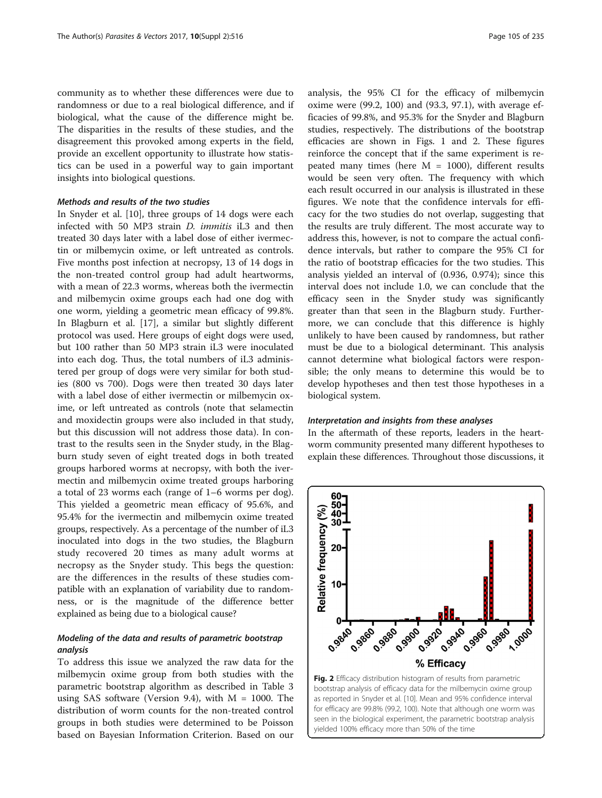community as to whether these differences were due to randomness or due to a real biological difference, and if biological, what the cause of the difference might be. The disparities in the results of these studies, and the disagreement this provoked among experts in the field, provide an excellent opportunity to illustrate how statistics can be used in a powerful way to gain important insights into biological questions.

#### Methods and results of the two studies

In Snyder et al. [\[10](#page-11-0)], three groups of 14 dogs were each infected with 50 MP3 strain D. immitis iL3 and then treated 30 days later with a label dose of either ivermectin or milbemycin oxime, or left untreated as controls. Five months post infection at necropsy, 13 of 14 dogs in the non-treated control group had adult heartworms, with a mean of 22.3 worms, whereas both the ivermectin and milbemycin oxime groups each had one dog with one worm, yielding a geometric mean efficacy of 99.8%. In Blagburn et al. [[17](#page-11-0)], a similar but slightly different protocol was used. Here groups of eight dogs were used, but 100 rather than 50 MP3 strain iL3 were inoculated into each dog. Thus, the total numbers of iL3 administered per group of dogs were very similar for both studies (800 vs 700). Dogs were then treated 30 days later with a label dose of either ivermectin or milbemycin oxime, or left untreated as controls (note that selamectin and moxidectin groups were also included in that study, but this discussion will not address those data). In contrast to the results seen in the Snyder study, in the Blagburn study seven of eight treated dogs in both treated groups harbored worms at necropsy, with both the ivermectin and milbemycin oxime treated groups harboring a total of 23 worms each (range of 1–6 worms per dog). This yielded a geometric mean efficacy of 95.6%, and 95.4% for the ivermectin and milbemycin oxime treated groups, respectively. As a percentage of the number of iL3 inoculated into dogs in the two studies, the Blagburn study recovered 20 times as many adult worms at necropsy as the Snyder study. This begs the question: are the differences in the results of these studies compatible with an explanation of variability due to randomness, or is the magnitude of the difference better explained as being due to a biological cause?

### Modeling of the data and results of parametric bootstrap analysis

To address this issue we analyzed the raw data for the milbemycin oxime group from both studies with the parametric bootstrap algorithm as described in Table [3](#page-6-0) using SAS software (Version 9.4), with  $M = 1000$ . The distribution of worm counts for the non-treated control groups in both studies were determined to be Poisson based on Bayesian Information Criterion. Based on our analysis, the 95% CI for the efficacy of milbemycin oxime were (99.2, 100) and (93.3, 97.1), with average efficacies of 99.8%, and 95.3% for the Snyder and Blagburn studies, respectively. The distributions of the bootstrap efficacies are shown in Figs. [1](#page-5-0) and 2. These figures reinforce the concept that if the same experiment is repeated many times (here  $M = 1000$ ), different results would be seen very often. The frequency with which each result occurred in our analysis is illustrated in these figures. We note that the confidence intervals for efficacy for the two studies do not overlap, suggesting that the results are truly different. The most accurate way to address this, however, is not to compare the actual confidence intervals, but rather to compare the 95% CI for the ratio of bootstrap efficacies for the two studies. This analysis yielded an interval of (0.936, 0.974); since this interval does not include 1.0, we can conclude that the efficacy seen in the Snyder study was significantly greater than that seen in the Blagburn study. Furthermore, we can conclude that this difference is highly unlikely to have been caused by randomness, but rather must be due to a biological determinant. This analysis cannot determine what biological factors were responsible; the only means to determine this would be to develop hypotheses and then test those hypotheses in a biological system.

#### Interpretation and insights from these analyses

In the aftermath of these reports, leaders in the heartworm community presented many different hypotheses to explain these differences. Throughout those discussions, it



Fig. 2 Efficacy distribution histogram of results from parametric bootstrap analysis of efficacy data for the milbemycin oxime group as reported in Snyder et al. [[10](#page-11-0)]. Mean and 95% confidence interval for efficacy are 99.8% (99.2, 100). Note that although one worm was seen in the biological experiment, the parametric bootstrap analysis yielded 100% efficacy more than 50% of the time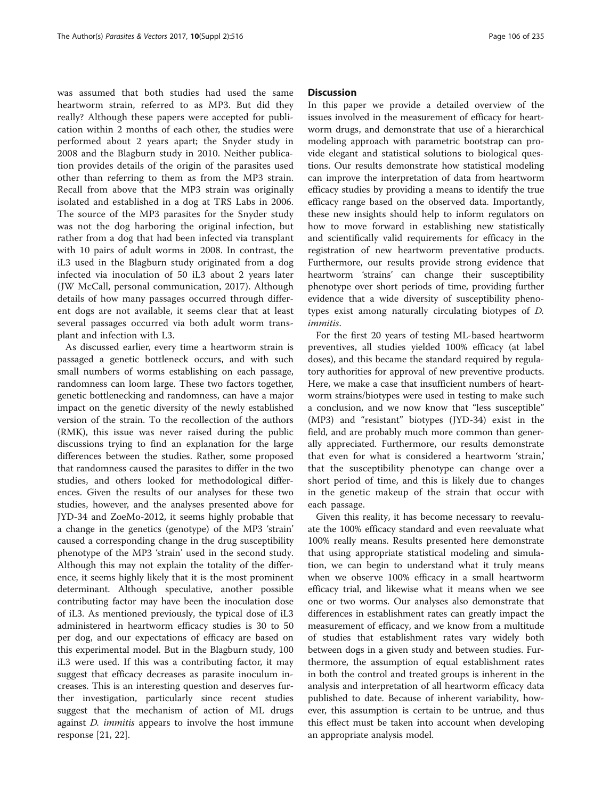was assumed that both studies had used the same heartworm strain, referred to as MP3. But did they really? Although these papers were accepted for publication within 2 months of each other, the studies were performed about 2 years apart; the Snyder study in 2008 and the Blagburn study in 2010. Neither publication provides details of the origin of the parasites used other than referring to them as from the MP3 strain. Recall from above that the MP3 strain was originally isolated and established in a dog at TRS Labs in 2006. The source of the MP3 parasites for the Snyder study was not the dog harboring the original infection, but rather from a dog that had been infected via transplant with 10 pairs of adult worms in 2008. In contrast, the iL3 used in the Blagburn study originated from a dog infected via inoculation of 50 iL3 about 2 years later (JW McCall, personal communication, 2017). Although details of how many passages occurred through different dogs are not available, it seems clear that at least several passages occurred via both adult worm transplant and infection with L3.

As discussed earlier, every time a heartworm strain is passaged a genetic bottleneck occurs, and with such small numbers of worms establishing on each passage, randomness can loom large. These two factors together, genetic bottlenecking and randomness, can have a major impact on the genetic diversity of the newly established version of the strain. To the recollection of the authors (RMK), this issue was never raised during the public discussions trying to find an explanation for the large differences between the studies. Rather, some proposed that randomness caused the parasites to differ in the two studies, and others looked for methodological differences. Given the results of our analyses for these two studies, however, and the analyses presented above for JYD-34 and ZoeMo-2012, it seems highly probable that a change in the genetics (genotype) of the MP3 'strain' caused a corresponding change in the drug susceptibility phenotype of the MP3 'strain' used in the second study. Although this may not explain the totality of the difference, it seems highly likely that it is the most prominent determinant. Although speculative, another possible contributing factor may have been the inoculation dose of iL3. As mentioned previously, the typical dose of iL3 administered in heartworm efficacy studies is 30 to 50 per dog, and our expectations of efficacy are based on this experimental model. But in the Blagburn study, 100 iL3 were used. If this was a contributing factor, it may suggest that efficacy decreases as parasite inoculum increases. This is an interesting question and deserves further investigation, particularly since recent studies suggest that the mechanism of action of ML drugs against *D. immitis* appears to involve the host immune response [[21](#page-11-0), [22](#page-11-0)].

#### **Discussion**

In this paper we provide a detailed overview of the issues involved in the measurement of efficacy for heartworm drugs, and demonstrate that use of a hierarchical modeling approach with parametric bootstrap can provide elegant and statistical solutions to biological questions. Our results demonstrate how statistical modeling can improve the interpretation of data from heartworm efficacy studies by providing a means to identify the true efficacy range based on the observed data. Importantly, these new insights should help to inform regulators on how to move forward in establishing new statistically and scientifically valid requirements for efficacy in the registration of new heartworm preventative products. Furthermore, our results provide strong evidence that heartworm 'strains' can change their susceptibility phenotype over short periods of time, providing further evidence that a wide diversity of susceptibility phenotypes exist among naturally circulating biotypes of D. immitis.

For the first 20 years of testing ML-based heartworm preventives, all studies yielded 100% efficacy (at label doses), and this became the standard required by regulatory authorities for approval of new preventive products. Here, we make a case that insufficient numbers of heartworm strains/biotypes were used in testing to make such a conclusion, and we now know that "less susceptible" (MP3) and "resistant" biotypes (JYD-34) exist in the field, and are probably much more common than generally appreciated. Furthermore, our results demonstrate that even for what is considered a heartworm 'strain,' that the susceptibility phenotype can change over a short period of time, and this is likely due to changes in the genetic makeup of the strain that occur with each passage.

Given this reality, it has become necessary to reevaluate the 100% efficacy standard and even reevaluate what 100% really means. Results presented here demonstrate that using appropriate statistical modeling and simulation, we can begin to understand what it truly means when we observe 100% efficacy in a small heartworm efficacy trial, and likewise what it means when we see one or two worms. Our analyses also demonstrate that differences in establishment rates can greatly impact the measurement of efficacy, and we know from a multitude of studies that establishment rates vary widely both between dogs in a given study and between studies. Furthermore, the assumption of equal establishment rates in both the control and treated groups is inherent in the analysis and interpretation of all heartworm efficacy data published to date. Because of inherent variability, however, this assumption is certain to be untrue, and thus this effect must be taken into account when developing an appropriate analysis model.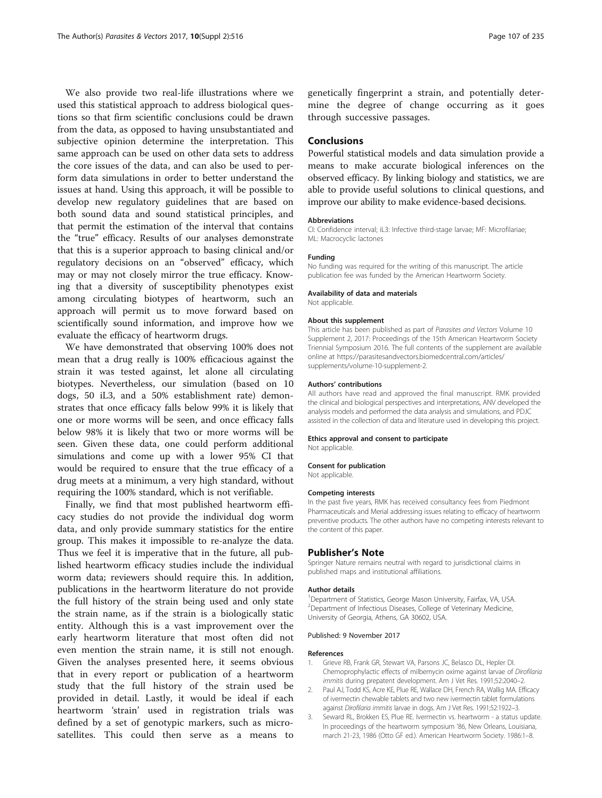<span id="page-10-0"></span>We also provide two real-life illustrations where we used this statistical approach to address biological questions so that firm scientific conclusions could be drawn from the data, as opposed to having unsubstantiated and subjective opinion determine the interpretation. This same approach can be used on other data sets to address the core issues of the data, and can also be used to perform data simulations in order to better understand the issues at hand. Using this approach, it will be possible to develop new regulatory guidelines that are based on both sound data and sound statistical principles, and that permit the estimation of the interval that contains the "true" efficacy. Results of our analyses demonstrate that this is a superior approach to basing clinical and/or regulatory decisions on an "observed" efficacy, which may or may not closely mirror the true efficacy. Knowing that a diversity of susceptibility phenotypes exist among circulating biotypes of heartworm, such an approach will permit us to move forward based on scientifically sound information, and improve how we evaluate the efficacy of heartworm drugs.

We have demonstrated that observing 100% does not mean that a drug really is 100% efficacious against the strain it was tested against, let alone all circulating biotypes. Nevertheless, our simulation (based on 10 dogs, 50 iL3, and a 50% establishment rate) demonstrates that once efficacy falls below 99% it is likely that one or more worms will be seen, and once efficacy falls below 98% it is likely that two or more worms will be seen. Given these data, one could perform additional simulations and come up with a lower 95% CI that would be required to ensure that the true efficacy of a drug meets at a minimum, a very high standard, without requiring the 100% standard, which is not verifiable.

Finally, we find that most published heartworm efficacy studies do not provide the individual dog worm data, and only provide summary statistics for the entire group. This makes it impossible to re-analyze the data. Thus we feel it is imperative that in the future, all published heartworm efficacy studies include the individual worm data; reviewers should require this. In addition, publications in the heartworm literature do not provide the full history of the strain being used and only state the strain name, as if the strain is a biologically static entity. Although this is a vast improvement over the early heartworm literature that most often did not even mention the strain name, it is still not enough. Given the analyses presented here, it seems obvious that in every report or publication of a heartworm study that the full history of the strain used be provided in detail. Lastly, it would be ideal if each heartworm 'strain' used in registration trials was defined by a set of genotypic markers, such as microsatellites. This could then serve as a means to

genetically fingerprint a strain, and potentially determine the degree of change occurring as it goes through successive passages.

#### **Conclusions**

Powerful statistical models and data simulation provide a means to make accurate biological inferences on the observed efficacy. By linking biology and statistics, we are able to provide useful solutions to clinical questions, and improve our ability to make evidence-based decisions.

#### Abbreviations

CI: Confidence interval; iL3: Infective third-stage larvae; MF: Microfilariae; ML: Macrocyclic lactones

#### Funding

No funding was required for the writing of this manuscript. The article publication fee was funded by the American Heartworm Society.

#### Availability of data and materials

Not applicable.

#### About this supplement

This article has been published as part of Parasites and Vectors Volume 10 Supplement 2, 2017: Proceedings of the 15th American Heartworm Society Triennial Symposium 2016. The full contents of the supplement are available online at [https://parasitesandvectors.biomedcentral.com/articles/](https://parasitesandvectors.biomedcentral.com/articles/supplements/volume-10-supplement-2) [supplements/volume-10-supplement-2.](https://parasitesandvectors.biomedcentral.com/articles/supplements/volume-10-supplement-2)

#### Authors' contributions

All authors have read and approved the final manuscript. RMK provided the clinical and biological perspectives and interpretations, ANV developed the analysis models and performed the data analysis and simulations, and PDJC assisted in the collection of data and literature used in developing this project.

#### Ethics approval and consent to participate

Not applicable.

### Consent for publication

Not applicable.

#### Competing interests

In the past five years, RMK has received consultancy fees from Piedmont Pharmaceuticals and Merial addressing issues relating to efficacy of heartworm preventive products. The other authors have no competing interests relevant to the content of this paper.

#### Publisher's Note

Springer Nature remains neutral with regard to jurisdictional claims in published maps and institutional affiliations.

#### Author details

<sup>1</sup> Department of Statistics, George Mason University, Fairfax, VA, USA. <sup>2</sup> Department of Infectious Diseases, College of Veterinary Medicine, University of Georgia, Athens, GA 30602, USA.

#### Published: 9 November 2017

#### References

- 1. Grieve RB, Frank GR, Stewart VA, Parsons JC, Belasco DL, Hepler DI. Chemoprophylactic effects of milbemycin oxime against larvae of Dirofilaria immitis during prepatent development. Am J Vet Res. 1991;52:2040–2.
- 2. Paul AJ, Todd KS, Acre KE, Plue RE, Wallace DH, French RA, Wallig MA. Efficacy of ivermectin chewable tablets and two new ivermectin tablet formulations against Dirofilaria immitis larvae in dogs. Am J Vet Res. 1991;52:1922–3.
- 3. Seward RL, Brokken ES, Plue RE. Ivermectin vs. heartworm a status update. In proceedings of the heartworm symposium '86, New Orleans, Louisiana, march 21-23, 1986 (Otto GF ed.). American Heartworm Society. 1986:1–8.